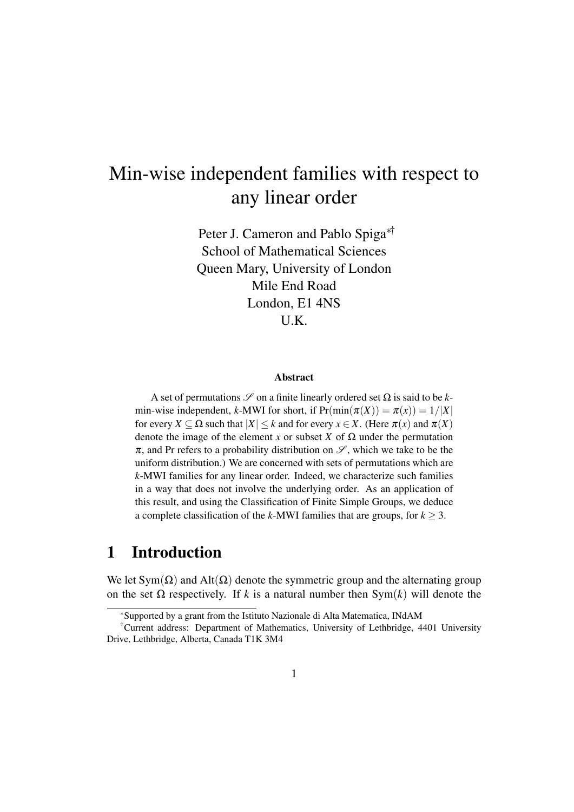# Min-wise independent families with respect to any linear order

Peter J. Cameron and Pablo Spiga<sup>∗†</sup> School of Mathematical Sciences Queen Mary, University of London Mile End Road London, E1 4NS U.K.

#### Abstract

A set of permutations  $\mathscr S$  on a finite linearly ordered set  $\Omega$  is said to be *k*min-wise independent, *k*-MWI for short, if  $Pr(\min(\pi(X)) = \pi(x)) = 1/|X|$ for every  $X \subseteq \Omega$  such that  $|X| \leq k$  and for every  $x \in X$ . (Here  $\pi(x)$  and  $\pi(X)$ ) denote the image of the element *x* or subset *X* of  $\Omega$  under the permutation  $\pi$ , and Pr refers to a probability distribution on  $\mathscr{S}$ , which we take to be the uniform distribution.) We are concerned with sets of permutations which are *k*-MWI families for any linear order. Indeed, we characterize such families in a way that does not involve the underlying order. As an application of this result, and using the Classification of Finite Simple Groups, we deduce a complete classification of the *k*-MWI families that are groups, for  $k > 3$ .

## 1 Introduction

We let  $Sym(\Omega)$  and  $Alt(\Omega)$  denote the symmetric group and the alternating group on the set  $\Omega$  respectively. If *k* is a natural number then Sym(*k*) will denote the

<sup>∗</sup>Supported by a grant from the Istituto Nazionale di Alta Matematica, INdAM

<sup>†</sup>Current address: Department of Mathematics, University of Lethbridge, 4401 University Drive, Lethbridge, Alberta, Canada T1K 3M4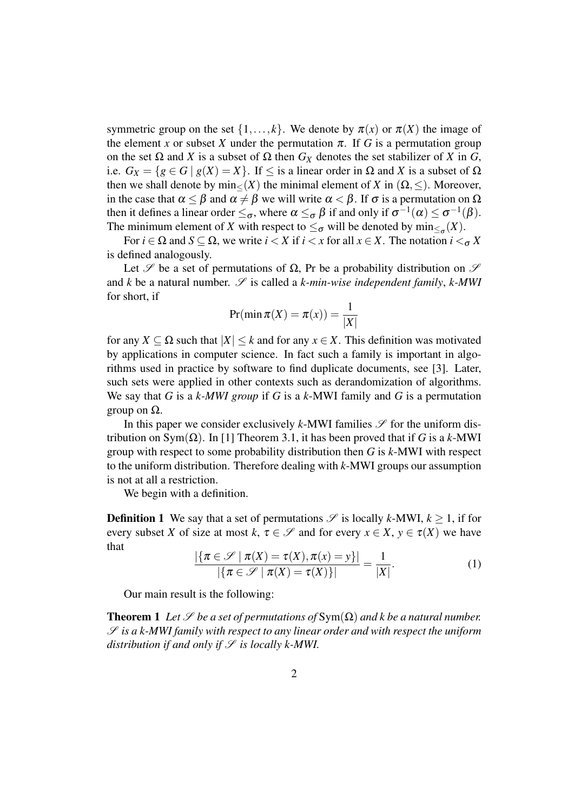symmetric group on the set  $\{1,\ldots,k\}$ . We denote by  $\pi(x)$  or  $\pi(X)$  the image of the element *x* or subset *X* under the permutation  $\pi$ . If *G* is a permutation group on the set Ω and *X* is a subset of Ω then *G<sup>X</sup>* denotes the set stabilizer of *X* in *G*, i.e.  $G_X = \{g \in G \mid g(X) = X\}$ . If  $\leq$  is a linear order in  $\Omega$  and X is a subset of  $\Omega$ then we shall denote by min $\lt(X)$  the minimal element of *X* in  $(\Omega, \le)$ . Moreover, in the case that  $\alpha \leq \beta$  and  $\alpha \neq \beta$  we will write  $\alpha < \beta$ . If  $\sigma$  is a permutation on  $\Omega$ then it defines a linear order  $\leq_{\sigma}$ , where  $\alpha \leq_{\sigma} \beta$  if and only if  $\sigma^{-1}(\alpha) \leq \sigma^{-1}(\beta)$ . The minimum element of *X* with respect to  $\leq_{\sigma}$  will be denoted by  $\min_{\leq_{\sigma}}(X)$ .

For  $i \in \Omega$  and  $S \subseteq \Omega$ , we write  $i < X$  if  $i < x$  for all  $x \in X$ . The notation  $i <_{\sigma} X$ is defined analogously.

Let  $\mathscr S$  be a set of permutations of  $\Omega$ , Pr be a probability distribution on  $\mathscr S$ and  $k$  be a natural number.  $\mathscr S$  is called a  $k$ -min-wise independent family,  $k$ -MWI for short, if

$$
Pr(\min \pi(X) = \pi(x)) = \frac{1}{|X|}
$$

for any  $X \subseteq \Omega$  such that  $|X| \leq k$  and for any  $x \in X$ . This definition was motivated by applications in computer science. In fact such a family is important in algorithms used in practice by software to find duplicate documents, see [3]. Later, such sets were applied in other contexts such as derandomization of algorithms. We say that *G* is a *k-MWI group* if *G* is a *k*-MWI family and *G* is a permutation group on Ω.

In this paper we consider exclusively  $k$ -MWI families  $\mathscr S$  for the uniform distribution on Sym(Ω). In [1] Theorem 3.1, it has been proved that if *G* is a *k*-MWI group with respect to some probability distribution then *G* is *k*-MWI with respect to the uniform distribution. Therefore dealing with *k*-MWI groups our assumption is not at all a restriction.

We begin with a definition.

**Definition 1** We say that a set of permutations  $\mathcal{S}$  is locally *k*-MWI,  $k > 1$ , if for every subset *X* of size at most *k*,  $\tau \in \mathcal{S}$  and for every  $x \in X$ ,  $y \in \tau(X)$  we have that

$$
\frac{|\{\pi \in \mathscr{S} \mid \pi(X) = \tau(X), \pi(x) = y\}|}{|\{\pi \in \mathscr{S} \mid \pi(X) = \tau(X)\}|} = \frac{1}{|X|}.
$$
\n(1)

Our main result is the following:

**Theorem 1** *Let*  $\mathscr S$  *be a set of permutations of*  $Sym(\Omega)$  *and k be a natural number.* S *is a k-MWI family with respect to any linear order and with respect the uniform distribution if and only if*  $S$  *is locally k-MWI.*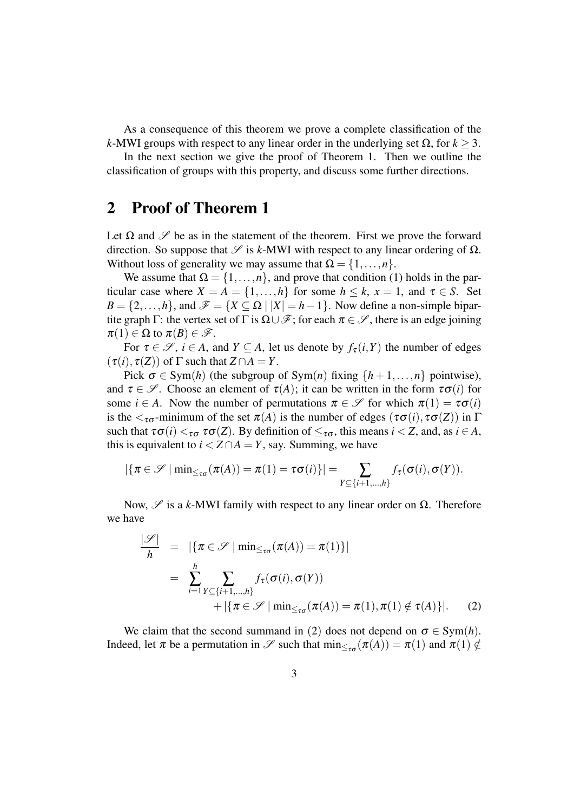As a consequence of this theorem we prove a complete classification of the *k*-MWI groups with respect to any linear order in the underlying set Ω, for *k* ≥ 3.

In the next section we give the proof of Theorem 1. Then we outline the classification of groups with this property, and discuss some further directions.

## 2 Proof of Theorem 1

Let  $\Omega$  and  $\mathscr S$  be as in the statement of the theorem. First we prove the forward direction. So suppose that  $\mathcal S$  is *k*-MWI with respect to any linear ordering of  $\Omega$ . Without loss of generality we may assume that  $\Omega = \{1, \ldots, n\}.$ 

We assume that  $\Omega = \{1, \ldots, n\}$ , and prove that condition (1) holds in the particular case where  $X = A = \{1, ..., h\}$  for some  $h \le k$ ,  $x = 1$ , and  $\tau \in S$ . Set  $B = \{2,\ldots,h\}$ , and  $\mathscr{F} = \{X \subseteq \Omega \mid |X| = h-1\}$ . Now define a non-simple bipartite graph Γ: the vertex set of Γ is  $\Omega \cup \mathcal{F}$ ; for each  $\pi \in \mathcal{S}$ , there is an edge joining  $\pi(1) \in \Omega$  to  $\pi(B) \in \mathscr{F}$ .

For  $\tau \in \mathcal{S}$ ,  $i \in A$ , and  $Y \subseteq A$ , let us denote by  $f_{\tau}(i, Y)$  the number of edges  $(\tau(i), \tau(Z))$  of  $\Gamma$  such that  $Z \cap A = Y$ .

Pick  $\sigma \in \text{Sym}(h)$  (the subgroup of  $\text{Sym}(n)$  fixing  $\{h+1,\ldots,n\}$  pointwise), and  $\tau \in \mathscr{S}$ . Choose an element of  $\tau(A)$ ; it can be written in the form  $\tau \sigma(i)$  for some  $i \in A$ . Now the number of permutations  $\pi \in \mathscr{S}$  for which  $\pi(1) = \tau \sigma(i)$ is the  $\langle \tau_{\sigma}$ -minimum of the set  $\pi(A)$  is the number of edges ( $\tau \sigma(i)$ ,  $\tau \sigma(Z)$ ) in  $\Gamma$ such that  $\tau\sigma(i) <_{\tau\sigma} \tau\sigma(Z)$ . By definition of  $\leq_{\tau\sigma}$ , this means  $i < Z$ , and, as  $i \in A$ , this is equivalent to  $i < Z \cap A = Y$ , say. Summing, we have

$$
|\{\pi \in \mathscr{S} \mid \min_{\leq \tau \sigma} (\pi(A)) = \pi(1) = \tau \sigma(i)\}| = \sum_{Y \subseteq \{i+1,\dots,n\}} f_{\tau}(\sigma(i), \sigma(Y)).
$$

Now,  $\mathscr S$  is a *k*-MWI family with respect to any linear order on  $\Omega$ . Therefore we have

$$
\frac{|\mathcal{S}|}{h} = |\{\pi \in \mathcal{S} \mid \min_{\leq \tau \sigma} (\pi(A)) = \pi(1)\}|
$$
  

$$
= \sum_{i=1}^{h} \sum_{Y \subseteq \{i+1,\dots,h\}} f_{\tau}(\sigma(i), \sigma(Y))
$$
  

$$
+ |\{\pi \in \mathcal{S} \mid \min_{\leq \tau \sigma} (\pi(A)) = \pi(1), \pi(1) \notin \tau(A)\}|. \tag{2}
$$

We claim that the second summand in (2) does not depend on  $\sigma \in \text{Sym}(h)$ . Indeed, let  $\pi$  be a permutation in  $\mathscr S$  such that  $\min_{\leq_{\tau\sigma}} (\pi(A)) = \pi(1)$  and  $\pi(1) \notin$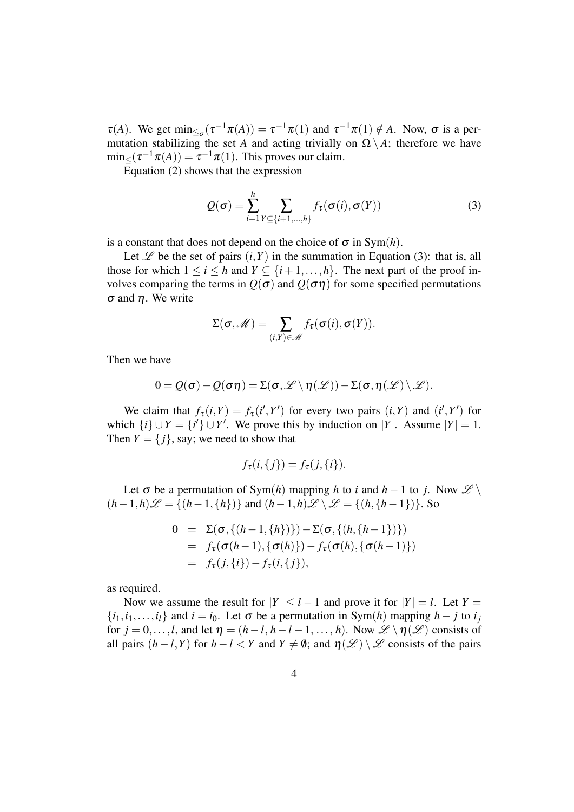$\tau(A)$ . We get  $\min_{\leq_{\sigma}}(\tau^{-1}\pi(A)) = \tau^{-1}\pi(1)$  and  $\tau^{-1}\pi(1) \notin A$ . Now,  $\sigma$  is a permutation stabilizing the set *A* and acting trivially on  $\Omega \setminus A$ ; therefore we have  $\min_{\leq}(\tau^{-1}\pi(A)) = \tau^{-1}\pi(1)$ . This proves our claim.

Equation (2) shows that the expression

$$
Q(\sigma) = \sum_{i=1}^{h} \sum_{Y \subseteq \{i+1,\dots,h\}} f_{\tau}(\sigma(i), \sigma(Y))
$$
 (3)

is a constant that does not depend on the choice of  $\sigma$  in Sym(h).

Let  $\mathscr L$  be the set of pairs  $(i, Y)$  in the summation in Equation (3): that is, all those for which  $1 \le i \le h$  and  $Y \subseteq \{i+1,\ldots,h\}$ . The next part of the proof involves comparing the terms in  $Q(\sigma)$  and  $Q(\sigma\eta)$  for some specified permutations σ and η. We write

$$
\Sigma(\sigma,\mathscr{M})=\sum_{(i,Y)\in\mathscr{M}}f_{\tau}(\sigma(i),\sigma(Y)).
$$

Then we have

$$
0 = \mathcal{Q}(\sigma) - \mathcal{Q}(\sigma \eta) = \Sigma(\sigma, \mathscr{L} \setminus \eta(\mathscr{L})) - \Sigma(\sigma, \eta(\mathscr{L}) \setminus \mathscr{L}).
$$

We claim that  $f_{\tau}(i, Y) = f_{\tau}(i', Y')$  for every two pairs  $(i, Y)$  and  $(i', Y')$  for which  $\{i\} \cup Y = \{i'\} \cup Y'$ . We prove this by induction on |*Y*|. Assume  $|Y| = 1$ . Then  $Y = \{j\}$ , say; we need to show that

$$
f_{\tau}(i,\{j\})=f_{\tau}(j,\{i\}).
$$

Let  $\sigma$  be a permutation of Sym(*h*) mapping *h* to *i* and *h* − 1 to *j*. Now  $\mathscr{L} \setminus$  $(h-1,h)\mathscr{L} = \{(h-1,\{h\})\}$  and  $(h-1,h)\mathscr{L} \setminus \mathscr{L} = \{(h,\{h-1\})\}$ . So

$$
0 = \Sigma(\sigma, \{(h-1, \{h\})\}) - \Sigma(\sigma, \{(h, \{h-1\})\})
$$
  
=  $f_{\tau}(\sigma(h-1), \{\sigma(h)\}) - f_{\tau}(\sigma(h), \{\sigma(h-1)\})$   
=  $f_{\tau}(j, \{i\}) - f_{\tau}(i, \{j\}),$ 

as required.

Now we assume the result for  $|Y| \leq l-1$  and prove it for  $|Y| = l$ . Let  $Y =$  $\{i_1, i_1, \ldots, i_l\}$  and  $i = i_0$ . Let  $\sigma$  be a permutation in Sym(*h*) mapping *h* − *j* to  $i_j$ for  $j = 0, \ldots, l$ , and let  $\eta = (h - l, h - l - 1, \ldots, h)$ . Now  $\mathscr{L} \setminus \eta(\mathscr{L})$  consists of all pairs  $(h - l, Y)$  for  $h - l < Y$  and  $Y \neq \emptyset$ ; and  $\eta(\mathscr{L}) \setminus \mathscr{L}$  consists of the pairs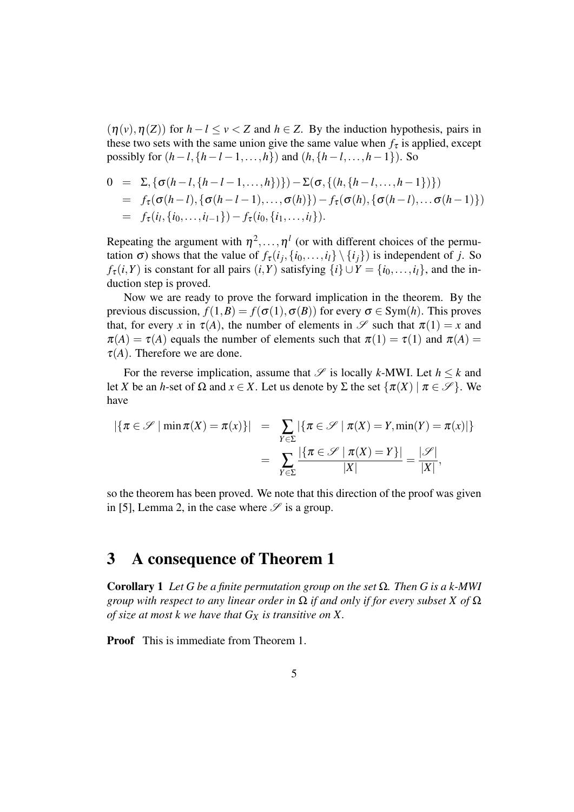$(\eta(v), \eta(Z))$  for  $h - l \le v < Z$  and  $h \in Z$ . By the induction hypothesis, pairs in these two sets with the same union give the same value when  $f_{\tau}$  is applied, except possibly for  $(h - l, \{h - l - 1, \ldots, h\})$  and  $(h, \{h - l, \ldots, h - 1\})$ . So

$$
0 = \Sigma, \{\sigma(h-l, \{h-l-1, ..., h\})\}) - \Sigma(\sigma, \{(h, \{h-l, ..., h-1\})\})
$$
  
=  $f_{\tau}(\sigma(h-l), \{\sigma(h-l-1), ..., \sigma(h)\}) - f_{\tau}(\sigma(h), \{\sigma(h-l), ..., \sigma(h-1)\})$   
=  $f_{\tau}(i_l, \{i_0, ..., i_{l-1}\}) - f_{\tau}(i_0, \{i_1, ..., i_l\}).$ 

Repeating the argument with  $\eta^2, \ldots, \eta^l$  (or with different choices of the permutation  $\sigma$ ) shows that the value of  $f_{\tau}(i_j, \{i_0, \ldots, i_l\} \setminus \{i_j\})$  is independent of *j*. So *f*<sub>τ</sub> $(i, Y)$  is constant for all pairs  $(i, Y)$  satisfying  $\{i\} \cup Y = \{i_0, \ldots, i_l\}$ , and the induction step is proved.

Now we are ready to prove the forward implication in the theorem. By the previous discussion,  $f(1, B) = f(\sigma(1), \sigma(B))$  for every  $\sigma \in \text{Sym}(h)$ . This proves that, for every *x* in  $\tau(A)$ , the number of elements in  $\mathscr S$  such that  $\pi(1) = x$  and  $\pi(A) = \tau(A)$  equals the number of elements such that  $\pi(1) = \tau(1)$  and  $\pi(A) =$  $\tau(A)$ . Therefore we are done.

For the reverse implication, assume that  $\mathcal{S}$  is locally *k*-MWI. Let  $h \leq k$  and let *X* be an *h*-set of  $\Omega$  and  $x \in X$ . Let us denote by  $\Sigma$  the set  $\{\pi(X) \mid \pi \in \mathcal{S}\}\)$ . We have

$$
\begin{array}{rcl} \left| \{ \pi \in \mathcal{S} \mid \min \pi(X) = \pi(x) \} \right| & = & \sum_{Y \in \Sigma} \left| \{ \pi \in \mathcal{S} \mid \pi(X) = Y, \min(Y) = \pi(x) \right| \} \\ & = & \sum_{Y \in \Sigma} \frac{\left| \{ \pi \in \mathcal{S} \mid \pi(X) = Y \} \right|}{|X|} = \frac{|\mathcal{S}|}{|X|}, \end{array}
$$

so the theorem has been proved. We note that this direction of the proof was given in [5], Lemma 2, in the case where  $\mathscr S$  is a group.

#### 3 A consequence of Theorem 1

Corollary 1 *Let G be a finite permutation group on the set* Ω*. Then G is a k-MWI group with respect to any linear order in* Ω *if and only if for every subset X of* Ω *of size at most k we have that G<sup>X</sup> is transitive on X.*

Proof This is immediate from Theorem 1.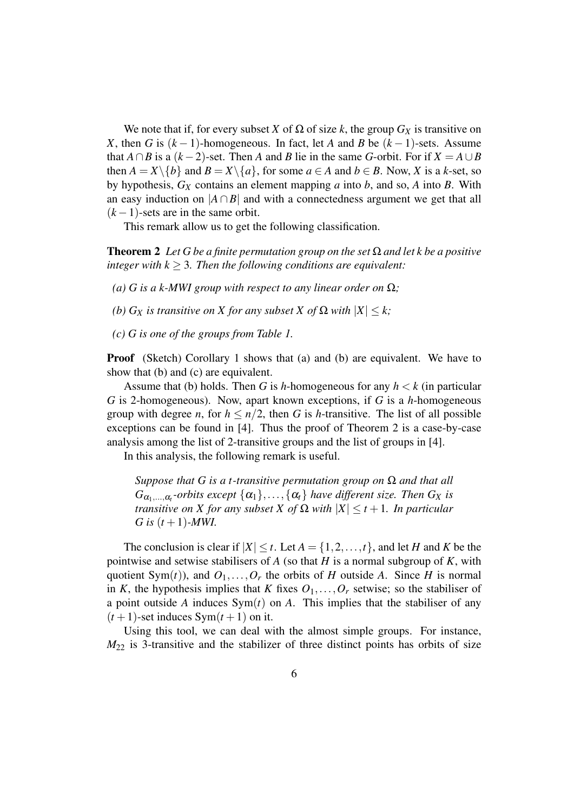We note that if, for every subset *X* of  $\Omega$  of size *k*, the group  $G_X$  is transitive on *X*, then *G* is  $(k-1)$ -homogeneous. In fact, let *A* and *B* be  $(k-1)$ -sets. Assume that *A* ∩*B* is a  $(k-2)$ -set. Then *A* and *B* lie in the same *G*-orbit. For if  $X = A \cup B$ then  $A = X \setminus \{b\}$  and  $B = X \setminus \{a\}$ , for some  $a \in A$  and  $b \in B$ . Now, X is a k-set, so by hypothesis, *G<sup>X</sup>* contains an element mapping *a* into *b*, and so, *A* into *B*. With an easy induction on  $|A \cap B|$  and with a connectedness argument we get that all  $(k-1)$ -sets are in the same orbit.

This remark allow us to get the following classification.

**Theorem 2** Let G be a finite permutation group on the set  $\Omega$  and let k be a positive *integer with*  $k \geq 3$ *. Then the following conditions are equivalent:* 

- *(a) G* is a k-MWI group with respect to any linear order on  $\Omega$ ;
- *(b)*  $G_X$  *is transitive on X for any subset X of*  $\Omega$  *with*  $|X| \leq k$ ;
- *(c) G is one of the groups from Table 1.*

**Proof** (Sketch) Corollary 1 shows that (a) and (b) are equivalent. We have to show that (b) and (c) are equivalent.

Assume that (b) holds. Then *G* is *h*-homogeneous for any *h* < *k* (in particular *G* is 2-homogeneous). Now, apart known exceptions, if *G* is a *h*-homogeneous group with degree *n*, for  $h \leq n/2$ , then *G* is *h*-transitive. The list of all possible exceptions can be found in [4]. Thus the proof of Theorem 2 is a case-by-case analysis among the list of 2-transitive groups and the list of groups in [4].

In this analysis, the following remark is useful.

*Suppose that G is a t-transitive permutation group on* Ω *and that all*  $G_{\alpha_1,\dots,\alpha_t}$ -orbits except  $\{\alpha_1\},\dots,\{\alpha_t\}$  have different size. Then  $G_X$  is *transitive on X for any subset X of*  $\Omega$  *with*  $|X| \le t+1$ *. In particular G* is  $(t + 1)$ *-MWI.* 

The conclusion is clear if  $|X| \le t$ . Let  $A = \{1, 2, ..., t\}$ , and let *H* and *K* be the pointwise and setwise stabilisers of *A* (so that *H* is a normal subgroup of *K*, with quotient Sym $(t)$ ), and  $O_1, \ldots, O_r$  the orbits of *H* outside *A*. Since *H* is normal in *K*, the hypothesis implies that *K* fixes  $O_1, \ldots, O_r$  setwise; so the stabiliser of a point outside *A* induces Sym(*t*) on *A*. This implies that the stabiliser of any  $(t+1)$ -set induces Sym $(t+1)$  on it.

Using this tool, we can deal with the almost simple groups. For instance, *M*<sup>22</sup> is 3-transitive and the stabilizer of three distinct points has orbits of size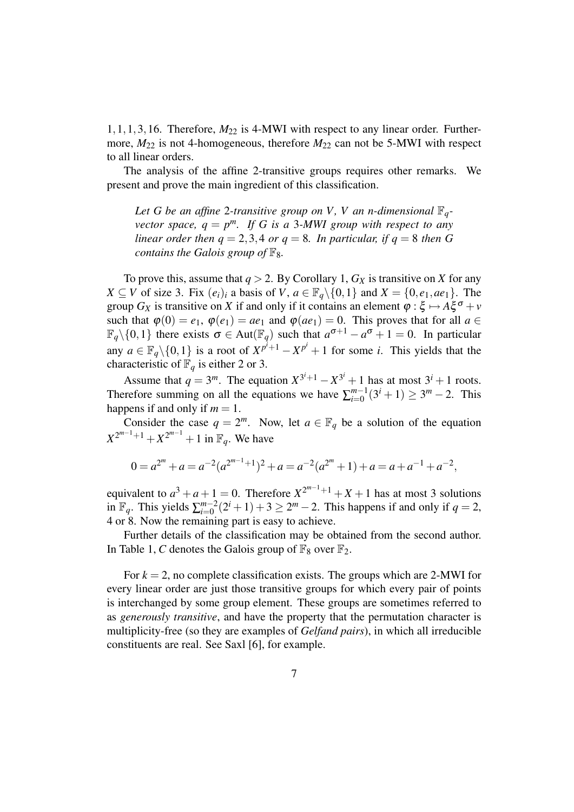$1,1,1,3,16$ . Therefore,  $M_{22}$  is 4-MWI with respect to any linear order. Furthermore,  $M_{22}$  is not 4-homogeneous, therefore  $M_{22}$  can not be 5-MWI with respect to all linear orders.

The analysis of the affine 2-transitive groups requires other remarks. We present and prove the main ingredient of this classification.

*Let G be an affine* 2*-transitive group on V , V an n-dimensional* F*qvector space,*  $q = p^m$ *. If G is a 3-MWI group with respect to any linear order then*  $q = 2, 3, 4$  *or*  $q = 8$ *. In particular, if*  $q = 8$  *then G contains the Galois group of*  $\mathbb{F}_8$ *.* 

To prove this, assume that  $q > 2$ . By Corollary 1,  $G_X$  is transitive on *X* for any *X* ⊆ *V* of size 3. Fix  $(e_i)_i$  a basis of *V*,  $a \in \mathbb{F}_q \setminus \{0,1\}$  and  $X = \{0,e_1,ae_1\}$ . The group  $G_X$  is transitive on *X* if and only if it contains an element  $\varphi : \xi \mapsto A \xi^{\sigma} + \nu$ such that  $\varphi(0) = e_1$ ,  $\varphi(e_1) = ae_1$  and  $\varphi(ae_1) = 0$ . This proves that for all  $a \in$  $\mathbb{F}_q \setminus \{0,1\}$  there exists  $\sigma \in Aut(\mathbb{F}_q)$  such that  $a^{\sigma+1} - a^{\sigma} + 1 = 0$ . In particular any  $a \in \mathbb{F}_q \setminus \{0,1\}$  is a root of  $X^{p^i+1} - X^{p^i} + 1$  for some *i*. This yields that the characteristic of  $\mathbb{F}_q$  is either 2 or 3.

Assume that  $q = 3^m$ . The equation  $X^{3^i+1} - X^{3^i} + 1$  has at most  $3^i + 1$  roots. Therefore summing on all the equations we have  $\sum_{i=0}^{m-1}$  $_{i=0}^{m-1}(3^{i}+1) \ge 3^{m}-2$ . This happens if and only if  $m = 1$ .

Consider the case  $q = 2^m$ . Now, let  $a \in \mathbb{F}_q$  be a solution of the equation  $X^{2^{m-1}+1} + X^{2^{m-1}} + 1$  in  $\mathbb{F}_q$ . We have

$$
0 = a^{2^m} + a = a^{-2}(a^{2^{m-1}+1})^2 + a = a^{-2}(a^{2^m} + 1) + a = a + a^{-1} + a^{-2},
$$

equivalent to  $a^3 + a + 1 = 0$ . Therefore  $X^{2^{m-1}+1} + X + 1$  has at most 3 solutions in  $\mathbb{F}_q$ . This yields  $\sum_{i=0}^{m-2}$  $_{i=0}^{m-2}(2^{i}+1)+3 \ge 2^{m}-2$ . This happens if and only if  $q=2$ , 4 or 8. Now the remaining part is easy to achieve.

Further details of the classification may be obtained from the second author. In Table 1, *C* denotes the Galois group of  $\mathbb{F}_8$  over  $\mathbb{F}_2$ .

For  $k = 2$ , no complete classification exists. The groups which are 2-MWI for every linear order are just those transitive groups for which every pair of points is interchanged by some group element. These groups are sometimes referred to as *generously transitive*, and have the property that the permutation character is multiplicity-free (so they are examples of *Gelfand pairs*), in which all irreducible constituents are real. See Saxl [6], for example.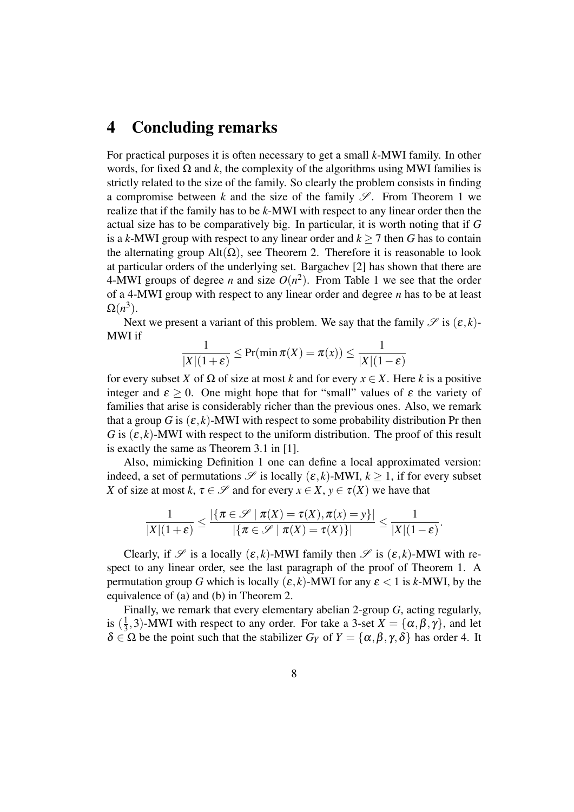#### 4 Concluding remarks

For practical purposes it is often necessary to get a small *k*-MWI family. In other words, for fixed  $\Omega$  and k, the complexity of the algorithms using MWI families is strictly related to the size of the family. So clearly the problem consists in finding a compromise between *k* and the size of the family  $\mathscr{S}$ . From Theorem 1 we realize that if the family has to be *k*-MWI with respect to any linear order then the actual size has to be comparatively big. In particular, it is worth noting that if *G* is a *k*-MWI group with respect to any linear order and  $k \ge 7$  then G has to contain the alternating group Alt( $\Omega$ ), see Theorem 2. Therefore it is reasonable to look at particular orders of the underlying set. Bargachev [2] has shown that there are 4-MWI groups of degree *n* and size  $O(n^2)$ . From Table 1 we see that the order of a 4-MWI group with respect to any linear order and degree *n* has to be at least  $\Omega(n^3)$ .

Next we present a variant of this problem. We say that the family  $\mathscr{S}$  is  $(\varepsilon, k)$ -MWI if

$$
\frac{1}{|X|(1+\varepsilon)} \leq \Pr(\min \pi(X) = \pi(x)) \leq \frac{1}{|X|(1-\varepsilon)}
$$

for every subset *X* of  $\Omega$  of size at most *k* and for every  $x \in X$ . Here *k* is a positive integer and  $\epsilon \geq 0$ . One might hope that for "small" values of  $\epsilon$  the variety of families that arise is considerably richer than the previous ones. Also, we remark that a group *G* is  $(\varepsilon, k)$ -MWI with respect to some probability distribution Pr then *G* is  $(\varepsilon, k)$ -MWI with respect to the uniform distribution. The proof of this result is exactly the same as Theorem 3.1 in [1].

Also, mimicking Definition 1 one can define a local approximated version: indeed, a set of permutations  $\mathscr S$  is locally  $(\varepsilon, k)$ -MWI,  $k \geq 1$ , if for every subset *X* of size at most *k*,  $\tau \in \mathcal{S}$  and for every  $x \in X$ ,  $y \in \tau(X)$  we have that

$$
\frac{1}{|X|(1+\varepsilon)} \leq \frac{|\{\pi \in \mathscr{S} \mid \pi(X) = \tau(X), \pi(x) = y\}|}{|\{\pi \in \mathscr{S} \mid \pi(X) = \tau(X)\}|} \leq \frac{1}{|X|(1-\varepsilon)}.
$$

Clearly, if  $\mathscr S$  is a locally  $(\varepsilon, k)$ -MWI family then  $\mathscr S$  is  $(\varepsilon, k)$ -MWI with respect to any linear order, see the last paragraph of the proof of Theorem 1. A permutation group *G* which is locally  $(\varepsilon, k)$ -MWI for any  $\varepsilon < 1$  is *k*-MWI, by the equivalence of (a) and (b) in Theorem 2.

Finally, we remark that every elementary abelian 2-group *G*, acting regularly, is  $(\frac{1}{3})$  $\frac{1}{3}$ , 3)-MWI with respect to any order. For take a 3-set  $X = {\alpha, \beta, \gamma}$ , and let  $\delta \in \Omega$  be the point such that the stabilizer  $G_Y$  of  $Y = {\alpha, \beta, \gamma, \delta}$  has order 4. It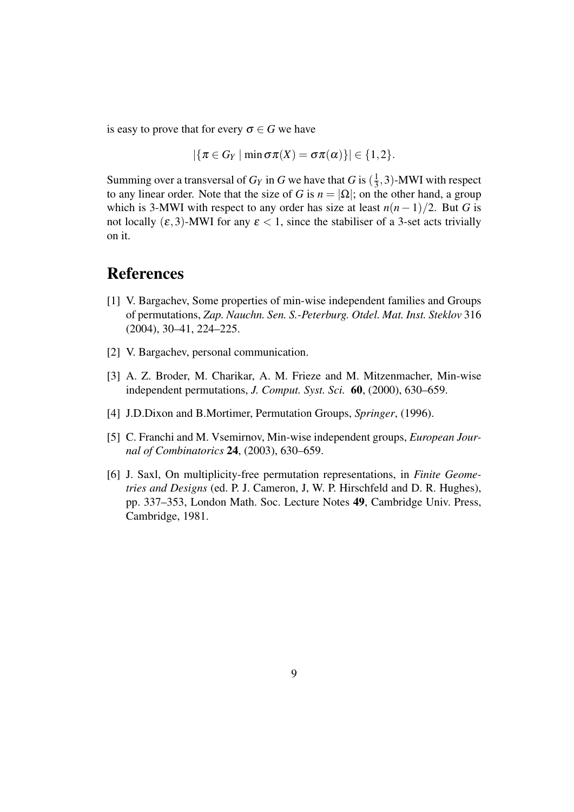is easy to prove that for every  $\sigma \in G$  we have

 $|\{\pi \in G_Y \mid \min \sigma \pi(X) = \sigma \pi(\alpha)\}| \in \{1,2\}.$ 

Summing over a transversal of  $G_Y$  in  $G$  we have that  $G$  is  $(\frac{1}{3})$  $\frac{1}{3}$ , 3)-MWI with respect to any linear order. Note that the size of *G* is  $n = |\Omega|$ ; on the other hand, a group which is 3-MWI with respect to any order has size at least  $n(n-1)/2$ . But *G* is not locally  $(\varepsilon,3)$ -MWI for any  $\varepsilon < 1$ , since the stabiliser of a 3-set acts trivially on it.

## References

- [1] V. Bargachev, Some properties of min-wise independent families and Groups of permutations, *Zap. Nauchn. Sen. S.-Peterburg. Otdel. Mat. Inst. Steklov* 316 (2004), 30–41, 224–225.
- [2] V. Bargachev, personal communication.
- [3] A. Z. Broder, M. Charikar, A. M. Frieze and M. Mitzenmacher, Min-wise independent permutations, *J. Comput. Syst. Sci.* 60, (2000), 630–659.
- [4] J.D.Dixon and B.Mortimer, Permutation Groups, *Springer*, (1996).
- [5] C. Franchi and M. Vsemirnov, Min-wise independent groups, *European Journal of Combinatorics* 24, (2003), 630–659.
- [6] J. Saxl, On multiplicity-free permutation representations, in *Finite Geometries and Designs* (ed. P. J. Cameron, J, W. P. Hirschfeld and D. R. Hughes), pp. 337–353, London Math. Soc. Lecture Notes 49, Cambridge Univ. Press, Cambridge, 1981.